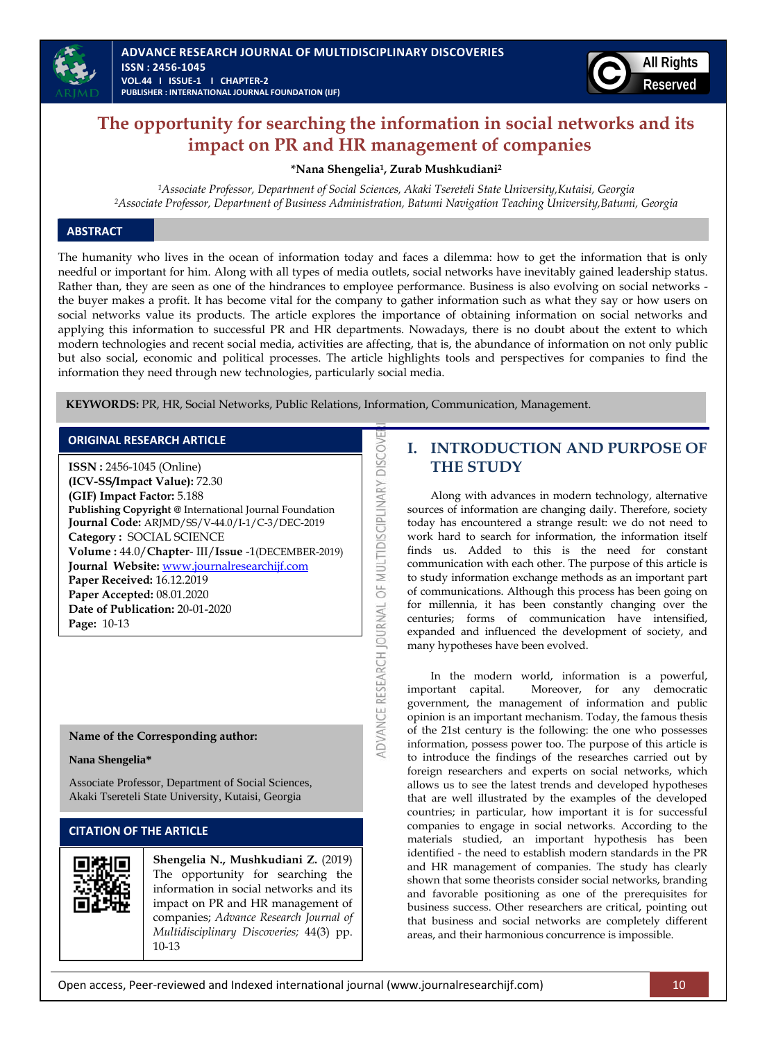

# **The opportunity for searching the information in social networks and its impact on PR and HR management of companies**

**\*Nana Shengelia1, Zurab Mushkudiani<sup>2</sup>**

*<sup>1</sup>Associate Professor, Department of Social Sciences, Akaki Tsereteli State University,Kutaisi, Georgia <sup>2</sup>Associate Professor, Department of Business Administration, Batumi Navigation Teaching University,Batumi, Georgia*

### **ABSTRACT**

The humanity who lives in the ocean of information today and faces a dilemma: how to get the information that is only needful or important for him. Along with all types of media outlets, social networks have inevitably gained leadership status. Rather than, they are seen as one of the hindrances to employee performance. Business is also evolving on social networks the buyer makes a profit. It has become vital for the company to gather information such as what they say or how users on social networks value its products. The article explores the importance of obtaining information on social networks and applying this information to successful PR and HR departments. Nowadays, there is no doubt about the extent to which modern technologies and recent social media, activities are affecting, that is, the abundance of information on not only public but also social, economic and political processes. The article highlights tools and perspectives for companies to find the information they need through new technologies, particularly social media.

ADVANCE RESEARCH JOURNAL OF MULTIDISCIPLINARY DISCOVE

**KEYWORDS:** PR, HR, Social Networks, Public Relations, Information, Communication, Management.

#### **ORIGINAL RESEARCH ARTICLE**

**ISSN :** 2456-1045 (Online) **(ICV-SS/Impact Value):** 72.30 **(GIF) Impact Factor:** 5.188 **Publishing Copyright @** International Journal Foundation **Journal Code:** ARJMD/SS/V-44.0/I-1/C-3/DEC-2019 **Category :** SOCIAL SCIENCE **Volume :** 44.0/**Chapter**- III/**Issue** -1(DECEMBER-2019) **Journal Website:** [www.journalresearchijf.com](http://www.journalresearchijf.com/) **Paper Received:** 16.12.2019 **Paper Accepted:** 08.01.2020 **Date of Publication:** 20-01-2020 **Page:** 10-13

#### **Name of the Corresponding author:**

#### **Nana Shengelia\***

Associate Professor, Department of Social Sciences, Akaki Tsereteli State University, Kutaisi, Georgia

### **CITATION OF THE ARTICLE**



**Shengelia N., Mushkudiani Z.** (2019) The opportunity for searching the information in social networks and its impact on PR and HR management of companies; *Advance Research Journal of Multidisciplinary Discoveries;* 44(3) pp. 10-13

## **I. INTRODUCTION AND PURPOSE OF THE STUDY**

Along with advances in modern technology, alternative sources of information are changing daily. Therefore, society today has encountered a strange result: we do not need to work hard to search for information, the information itself finds us. Added to this is the need for constant communication with each other. The purpose of this article is to study information exchange methods as an important part of communications. Although this process has been going on for millennia, it has been constantly changing over the centuries; forms of communication have intensified, expanded and influenced the development of society, and many hypotheses have been evolved.

In the modern world, information is a powerful, important capital. Moreover, for any democratic government, the management of information and public opinion is an important mechanism. Today, the famous thesis of the 21st century is the following: the one who possesses information, possess power too. The purpose of this article is to introduce the findings of the researches carried out by foreign researchers and experts on social networks, which allows us to see the latest trends and developed hypotheses that are well illustrated by the examples of the developed countries; in particular, how important it is for successful companies to engage in social networks. According to the materials studied, an important hypothesis has been identified - the need to establish modern standards in the PR and HR management of companies. The study has clearly shown that some theorists consider social networks, branding and favorable positioning as one of the prerequisites for business success. Other researchers are critical, pointing out that business and social networks are completely different areas, and their harmonious concurrence is impossible.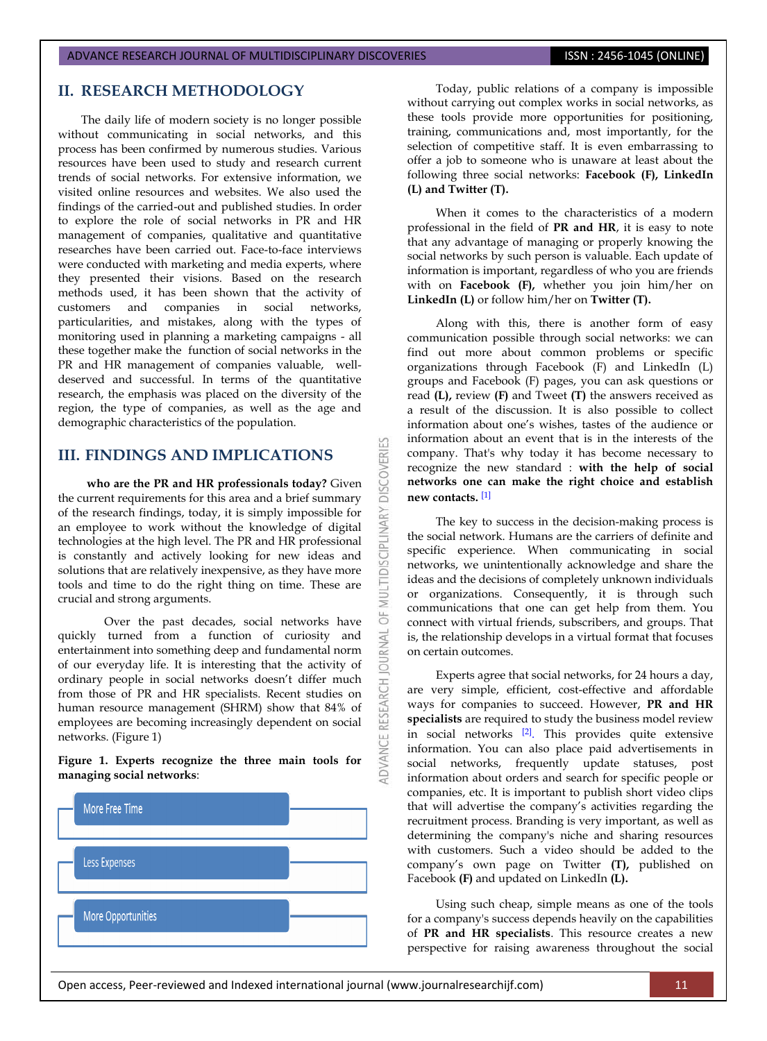#### ADVANCE RESEARCH JOURNAL OF MULTIDISCIPLINARY DISCOVERIES **ISSN : 2456-1045 (ONLINE)**

### **II. RESEARCH METHODOLOGY**

The daily life of modern society is no longer possible without communicating in social networks, and this process has been confirmed by numerous studies. Various resources have been used to study and research current trends of social networks. For extensive information, we visited online resources and websites. We also used the findings of the carried-out and published studies. In order to explore the role of social networks in PR and HR management of companies, qualitative and quantitative researches have been carried out. Face-to-face interviews were conducted with marketing and media experts, where they presented their visions. Based on the research methods used, it has been shown that the activity of customers and companies in social networks, particularities, and mistakes, along with the types of monitoring used in planning a marketing campaigns - all these together make the function of social networks in the PR and HR management of companies valuable, welldeserved and successful. In terms of the quantitative research, the emphasis was placed on the diversity of the region, the type of companies, as well as the age and demographic characteristics of the population.

### **III. FINDINGS AND IMPLICATIONS**

 **who are the PR and HR professionals today?** Given the current requirements for this area and a brief summary of the research findings, today, it is simply impossible for an employee to work without the knowledge of digital technologies at the high level. The PR and HR professional is constantly and actively looking for new ideas and solutions that are relatively inexpensive, as they have more tools and time to do the right thing on time. These are crucial and strong arguments.

Over the past decades, social networks have quickly turned from a function of curiosity and entertainment into something deep and fundamental norm of our everyday life. It is interesting that the activity of ordinary people in social networks doesn't differ much from those of PR and HR specialists. Recent studies on human resource management (SHRM) show that 84% of employees are becoming increasingly dependent on social networks. (Figure 1)

**Figure 1. Experts recognize the three main tools for managing social networks**:



Today, public relations of a company is impossible without carrying out complex works in social networks, as these tools provide more opportunities for positioning, training, communications and, most importantly, for the selection of competitive staff. It is even embarrassing to offer a job to someone who is unaware at least about the following three social networks: **Facebook (F), LinkedIn (L) and Twitter (T).**

When it comes to the characteristics of a modern professional in the field of **PR and HR**, it is easy to note that any advantage of managing or properly knowing the social networks by such person is valuable. Each update of information is important, regardless of who you are friends with on **Facebook (F),** whether you join him/her on **LinkedIn (L)** or follow him/her on **Twitter (T).**

Along with this, there is another form of easy communication possible through social networks: we can find out more about common problems or specific organizations through Facebook  $(F)$  and LinkedIn  $(L)$ groups and Facebook (F) pages, you can ask questions or read **(L),** review **(F)** and Tweet **(T)** the answers received as a result of the discussion. It is also possible to collect information about one's wishes, tastes of the audience or information about an event that is in the interests of the company. That's why today it has become necessary to recognize the new standard : **with the help of social networks one can make the right choice and establish new contacts.** [\[1\]](#page-3-0)

53

**DISCOVERI** 

ULTIDISCIPLINARY

 $\overline{5}$ 

JOURNAL

RESEARCH

The key to success in the decision-making process is the social network. Humans are the carriers of definite and specific experience. When communicating in social networks, we unintentionally acknowledge and share the ideas and the decisions of completely unknown individuals or organizations. Consequently, it is through such communications that one can get help from them. You connect with virtual friends, subscribers, and groups. That is, the relationship develops in a virtual format that focuses on certain outcomes.

Experts agree that social networks, for 24 hours a day, are very simple, efficient, cost-effective and affordable ways for companies to succeed. However, **PR and HR specialists** are required to study the business model review in social networks <sup>[\[2\]](#page-3-1)</sup>. This provides quite extensive information. You can also place paid advertisements in social networks, frequently update statuses, post information about orders and search for specific people or companies, etc. It is important to publish short video clips that will advertise the company's activities regarding the recruitment process. Branding is very important, as well as determining the company's niche and sharing resources with customers. Such a video should be added to the company's own page on Twitter **(T),** published on Facebook **(F)** and updated on LinkedIn **(L).**

Using such cheap, simple means as one of the tools for a company's success depends heavily on the capabilities of **PR and HR specialists**. This resource creates a new perspective for raising awareness throughout the social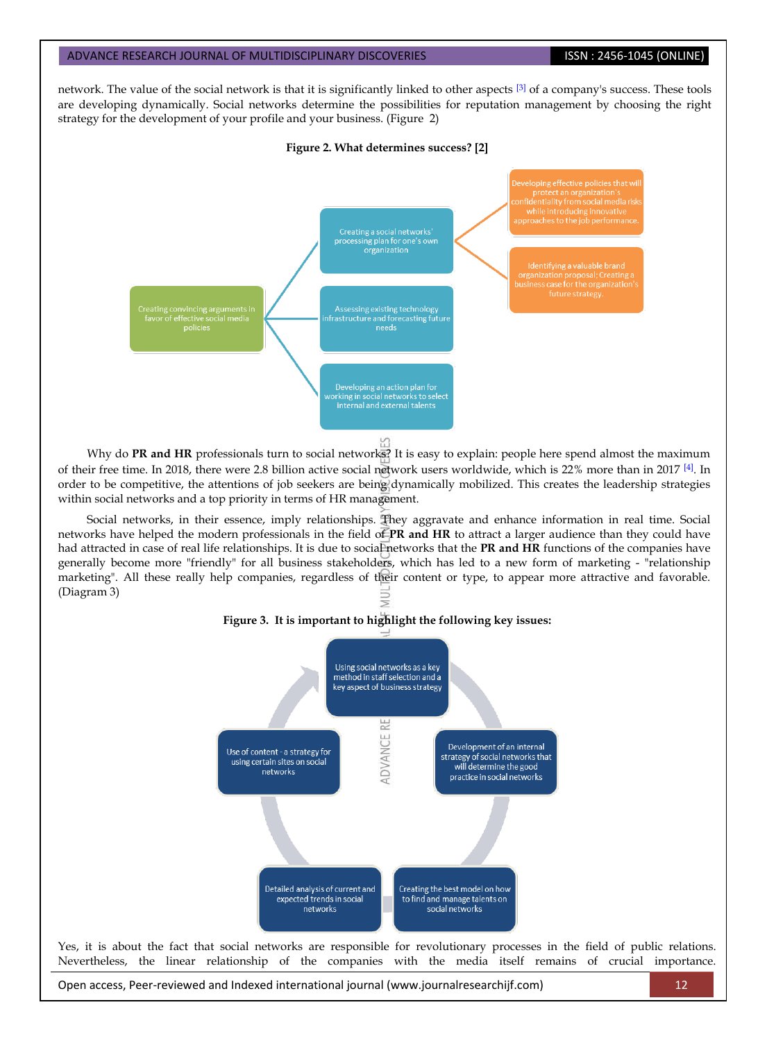#### ADVANCE RESEARCH JOURNAL OF MULTIDISCIPLINARY DISCOVERIES **ISSN : 2456-1045 (ONLINE)**

network. The value of the social network is that it is significantly linked to other aspects <sup>[\[3\]](#page-3-2)</sup> of a company's success. These tools are developing dynamically. Social networks determine the possibilities for reputation management by choosing the right strategy for the development of your profile and your business. (Figure 2)

#### **Figure 2. What determines success? [2]**



Why do PR and HR professionals turn to social networks? It is easy to explain: people here spend almost the maximum of their free time. In 2018, there were 2.8 billion active social network users worldwide, which is 22% more than in 2017 [\[4\]](#page-3-3). In order to be competitive, the attentions of job seekers are being dynamically mobilized. This creates the leadership strategies within social networks and a top priority in terms of HR management.

Social networks, in their essence, imply relationships. They aggravate and enhance information in real time. Social networks have helped the modern professionals in the field of **PR and HR** to attract a larger audience than they could have had attracted in case of real life relationships. It is due to social networks that the PR and HR functions of the companies have generally become more "friendly" for all business stakeholders, which has led to a new form of marketing - "relationship marketing". All these really help companies, regardless of their content or type, to appear more attractive and favorable. (Diagram 3)





Open access, Peer-reviewed and Indexed international journal (www.journalresearchijf.com) 12